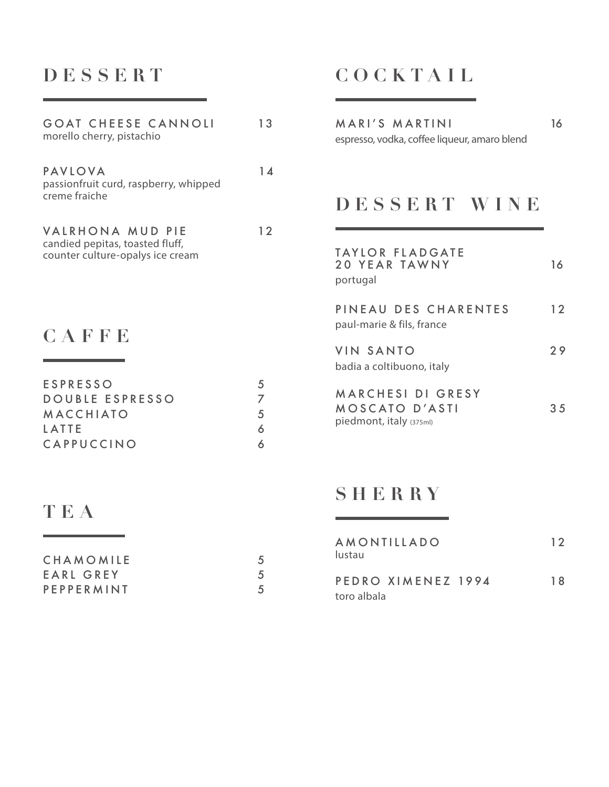# **DESSERT**

| 13                    |
|-----------------------|
| $1\Lambda$            |
| 12                    |
|                       |
| 5<br>7<br>5<br>6<br>6 |
|                       |

## **TEA**

| CHAMOMILE  |  |
|------------|--|
| EARL GREY  |  |
| PEPPERMINT |  |

## **COCKTAIL**

| MARI'S MARTINI                               | 16 |
|----------------------------------------------|----|
| espresso, vodka, coffee liqueur, amaro blend |    |
|                                              |    |
|                                              |    |
|                                              |    |

#### **DESSERT WINE**

| <b>TAYLOR FLADGATE</b><br><b>20 YEAR TAWNY</b><br>portugal     | 16  |
|----------------------------------------------------------------|-----|
| PINEAU DES CHARENTES<br>paul-marie & fils, france              | 12  |
| <b>VIN SANTO</b><br>badia a coltibuono, italy                  | 79  |
| MARCHESI DI GRESY<br>MOSCATO D'ASTI<br>piedmont, italy (375ml) | 3.5 |

#### **SHERRY**

| AMONTILLADO<br>lustau | 12  |
|-----------------------|-----|
| PEDRO XIMENEZ 1994    | 1 R |
| toro albala           |     |